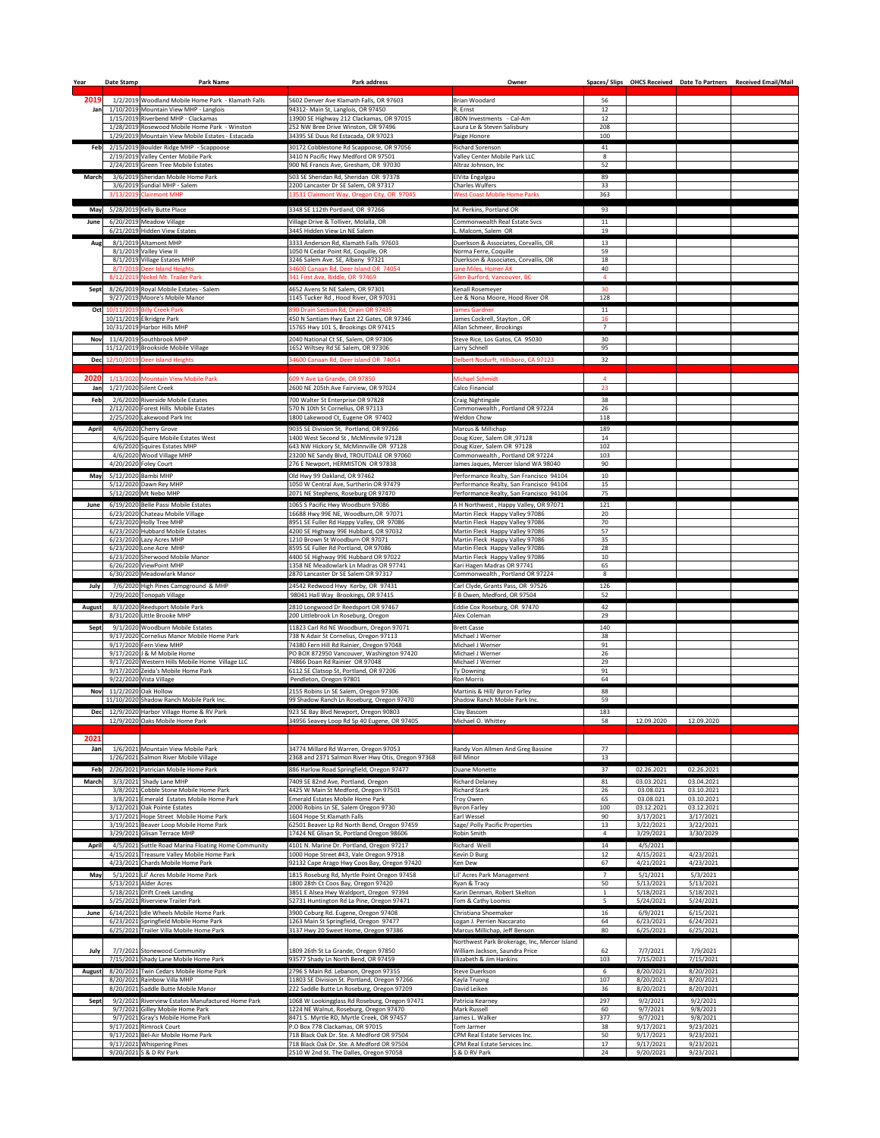| Year          | Date Stamp | <b>Park Name</b>                                                                                   | <b>Park address</b>                                                                        | Owner                                                                    |                      |                         |                          | Spaces/Slips OHCS Received Date To Partners Received Email/Mail |
|---------------|------------|----------------------------------------------------------------------------------------------------|--------------------------------------------------------------------------------------------|--------------------------------------------------------------------------|----------------------|-------------------------|--------------------------|-----------------------------------------------------------------|
| 2019          |            | 1/2/2019 Woodland Mobile Home Park - Klamath Falls                                                 | 5602 Denver Ave Klamath Falls, OR 97603                                                    | Brian Woodard                                                            | 56                   |                         |                          |                                                                 |
| Janl          |            | 1/10/2019 Mountain View MHP - Langlois                                                             | 94312- Main St, Langlois, OR 97450                                                         | R. Ernst                                                                 | 12                   |                         |                          |                                                                 |
|               |            | 1/15/2019 Riverbend MHP - Clackamas                                                                | 13900 SE Highway 212 Clackamas, OR 97015                                                   | JBDN Investments - Cal-Am                                                | 12                   |                         |                          |                                                                 |
|               |            | 1/28/2019 Rosewood Mobile Home Park - Winston<br>1/29/2019 Mountain View Mobile Estates - Estacada | 252 NW Bree Drive Winston, OR 97496<br>34395 SE Duus Rd Estacada, OR 97023                 | aura Le & Steven Salisbury<br>Paige Honore                               | 208<br>100           |                         |                          |                                                                 |
|               |            | Feb   2/15/2019 Boulder Ridge MHP - Scappoose                                                      | 30172 Cobblestone Rd Scappoose, OR 97056                                                   | <b>Richard Sorenson</b>                                                  | 41                   |                         |                          |                                                                 |
|               |            | 2/19/2019 Valley Center Mobile Park<br>2/24/2019 Green Tree Mobile Estates                         | 3410 N Pacific Hwy Medford OR 97501<br>900 NE Francis Ave, Gresham, OR 97030               | Valley Center Mobile Park LLC<br>Altraz Johnson, Inc                     | 8<br>52              |                         |                          |                                                                 |
| <b>March</b>  |            | 3/6/2019 Sheridan Mobile Home Park                                                                 | 503 SE Sheridan Rd, Sheridan OR 97378                                                      | ElVita Engalgau                                                          | 89                   |                         |                          |                                                                 |
|               |            | 3/6/2019 Sundial MHP - Salem                                                                       | 2200 Lancaster Dr SE Salem, OR 97317                                                       | <b>Charles Wulfers</b>                                                   | 33                   |                         |                          |                                                                 |
|               |            | 3/13/2019 Clairmont MHP                                                                            | 13531 Clairmont Way, Oregon City, OR 97045                                                 | <b>West Coast Mobile Home Parks</b>                                      | 363                  |                         |                          |                                                                 |
|               |            | May 5/28/2019 Kelly Butte Place                                                                    | 3348 SE 112th Portland, OR 97266                                                           | M. Perkins, Portland OR                                                  | 93                   |                         |                          |                                                                 |
| <b>June</b>   |            | 6/20/2019 Meadow Village                                                                           | Village Drive & Tolliver, Molalla, OR                                                      | Commonwealth Real Estate Svcs                                            | 11                   |                         |                          |                                                                 |
|               |            | 6/21/2019 Hidden View Estates                                                                      | 3445 Hidden View Ln NE Salem                                                               | Malcom, Salem OR                                                         | 19                   |                         |                          |                                                                 |
| Aug           |            | 8/1/2019 Altamont MHP<br>8/1/2019 Valley View II                                                   | 3333 Anderson Rd, Klamath Falls 97603<br>1050 N Cedar Point Rd, Coquille, OR               | Duerkson & Associates, Corvallis, OR<br>Norma Ferre, Coquille            | 13<br>59             |                         |                          |                                                                 |
|               |            | 8/1/2019 Village Estates MHP                                                                       | 3246 Salem Ave. SE, Albany 97321                                                           | Duerkson & Associates, Corvallis, OR                                     | 18                   |                         |                          |                                                                 |
|               |            | 8/7/2019 Deer Island Heights<br>8/12/2019 Nickel Mt. Trailer Park                                  | 34600 Canaan Rd, Deer Island OR 74054                                                      | Jane Miles, Homer AK                                                     | 40                   |                         |                          |                                                                 |
| <b>Sept</b>   |            | 8/26/2019 Royal Mobile Estates - Salem                                                             | 341 First Ave, Riddle, OR 97469<br>4652 Avens St NE Salem, OR 97301                        | Glen Burford, Vancouver, BC<br>Kenall Rosemeyer                          | 30                   |                         |                          |                                                                 |
|               |            | 9/27/2019 Moore's Mobile Manor                                                                     | 1145 Tucker Rd, Hood River, OR 97031                                                       | Lee & Nona Moore, Hood River OR                                          | 128                  |                         |                          |                                                                 |
|               |            | Oct 10/11/2019 Billy Creek Park                                                                    | 890 Drain Section Rd, Drain OR 97435                                                       | <b>James Gardner</b>                                                     | 11                   |                         |                          |                                                                 |
|               |            | 10/11/2019 Elkridgre Park<br>10/31/2019 Harbor Hills MHP                                           | 450 N Santiam Hwy East 22 Gates, OR 97346<br>15765 Hwy 101 S, Brookings OR 97415           | James Cockrell, Stayton, OR<br>Allan Schmeer, Brookings                  | 16<br>$\overline{7}$ |                         |                          |                                                                 |
| <b>Nov</b>    |            | 11/4/2019 Southbrook MHP                                                                           | 2040 National Ct SE, Salem, OR 97306                                                       | Steve Rice, Los Gatos, CA 95030                                          | 30                   |                         |                          |                                                                 |
|               |            | 11/12/2019 Brookside Mobile Village                                                                | 1652 Wiltsey Rd SE Salem, OR 97306                                                         | Larry Schnell                                                            | 95                   |                         |                          |                                                                 |
|               |            | Dec 12/10/2019 Deer Island Heights                                                                 | 34600 Canaan Rd, Deer Island OR 74054                                                      | Delbert Nodurft, Hillsboro, CA 97123                                     | 32                   |                         |                          |                                                                 |
| 2020          |            | 1/13/2020 Mountain View Mobile Park                                                                | 609 Y Ave La Grande, OR 97850                                                              | Michael Schmidt                                                          |                      |                         |                          |                                                                 |
| Jan           |            | 1/27/2020 Silent Creek                                                                             | 2600 NE 205th Ave Fairview, OR 97024                                                       | Calco Financial                                                          | 23                   |                         |                          |                                                                 |
| Feb           |            | 2/6/2020 Riverside Mobile Estates                                                                  | 700 Walter St Enterprise OR 97828                                                          | Craig Nightingale                                                        | 38                   |                         |                          |                                                                 |
|               |            | 2/12/2020 Forest Hills Mobile Estates                                                              | 570 N 10th St Cornelius, OR 97113                                                          | Commonwealth, Portland OR 97224                                          | 26                   |                         |                          |                                                                 |
| <b>April</b>  |            | 2/25/2020 Lakewood Park Inc<br>4/6/2020 Cherry Grove                                               | 1800 Lakewood Ct, Eugene OR 97402<br>9035 SE Division St, Portland, OR 97266               | Weldon Chow<br>Marcus & Millichap                                        | 118<br>189           |                         |                          |                                                                 |
|               |            | 4/6/2020 Squire Mobile Estates West                                                                | 1400 West Second St, McMinnvile 97128                                                      | Doug Kizer, Salem OR, 97128                                              | 14                   |                         |                          |                                                                 |
|               |            | 4/6/2020 Squires Estates MHP                                                                       | 643 NW Hickory St, McMinnville OR 97128                                                    | Doug Kizer, Salem OR 97128                                               | 102                  |                         |                          |                                                                 |
|               |            | 4/6/2020 Wood Village MHP<br>4/20/2020 Foley Court                                                 | 23200 NE Sandy Blvd, TROUTDALE OR 97060<br>276 E Newport, HERMISTON OR 97838               | Commonwealth, Portland OR 97224<br>James Jaques, Mercer Island WA 98040  | 103<br>90            |                         |                          |                                                                 |
| May           |            | 5/12/2020 Bambi MHP                                                                                | Old Hwy 99 Oakland, OR 97462                                                               | Performance Realty, San Francisco 94104                                  | 10                   |                         |                          |                                                                 |
|               |            | 5/12/2020 Dawn Rey MHP                                                                             | 1050 W Central Ave, Surtherin OR 97479                                                     | Performance Realty, San Francisco 94104                                  | 15                   |                         |                          |                                                                 |
|               |            | 5/12/2020 Mt Nebo MHP<br>6/19/2020 Belle Passi Mobile Estates                                      | 2071 NE Stephens, Roseburg OR 97470<br>1065 S Pacific Hwy Woodburn 97086                   | Performance Realty, San Francisco 94104                                  | 75<br>121            |                         |                          |                                                                 |
| June          |            | 6/23/2020 Chateau Mobile Village                                                                   | 16688 Hwy 99E NE, Woodburn, OR 97071                                                       | A H Northwest, Happy Valley, OR 97071<br>Martin Fleck Happy Valley 97086 | 20                   |                         |                          |                                                                 |
|               |            | $6/23/2020$ Holly Tree MHP                                                                         | 8951 SE Fuller Rd Happy Valley, OR 97086                                                   | Martin Fleck Happy Valley 97086                                          | 70                   |                         |                          |                                                                 |
|               |            | 6/23/2020 Hubbard Mobile Estates<br>$6/23/2020$ Lazy Acres MHP                                     | 4200 SE Highway 99E Hubbard, OR 97032<br>1210 Brown St Woodburn OR 97071                   | Martin Fleck Happy Valley 97086<br>Martin Fleck Happy Valley 97086       | 57<br>35             |                         |                          |                                                                 |
|               |            | $6/23/2020$ Lone Acre MHP                                                                          | 8595 SE Fuller Rd Portland, OR 97086                                                       | Martin Fleck Happy Valley 97086                                          | 28                   |                         |                          |                                                                 |
|               |            | 6/23/2020 Sherwood Mobile Manor<br>6/26/2020 ViewPoint MHP                                         | 4400 SE Highway 99E Hubbard OR 97022<br>1358 NE Meadowlark Ln Madras OR 97741              | Martin Fleck Happy Valley 97086<br>Kari Hagen Madras OR 97741            | 10<br>65             |                         |                          |                                                                 |
|               |            | 6/30/2020 Meadowlark Manor                                                                         | 2870 Lancaster Dr SE Salem OR 97317                                                        | Commonwealth, Portland OR 97224                                          | 8                    |                         |                          |                                                                 |
| July          |            | 7/6/2020 High Pines Campground & MHP                                                               | 24542 Redwood Hwy Kerby, OR 97431                                                          | Carl Clyde, Grants Pass, OR 97526                                        | 126                  |                         |                          |                                                                 |
|               |            | 7/29/2020 Tonopah Village                                                                          | 98041 Hall Way Brookings, OR 97415                                                         | B Owen, Medford, OR 97504                                                | 52                   |                         |                          |                                                                 |
| <b>August</b> |            | 8/3/2020 Reedsport Mobile Park<br>8/31/2020 Little Brooke MHP                                      | 2810 Longwood Dr Reedsport OR 97467<br>200 Littlebrook Ln Roseburg, Oregon                 | Eddie Cox Roseburg, OR 97470<br>Alex Coleman                             | 42<br>29             |                         |                          |                                                                 |
| Sept          |            | 9/1/2020 Woodburn Mobile Estates                                                                   | 11823 Carl Rd NE Woodburn, Oregon 97071                                                    | <b>Brett Casse</b>                                                       | 140                  |                         |                          |                                                                 |
|               |            | 9/17/2020 Cornelius Manor Mobile Home Park                                                         | 738 N Adair St Cornelius, Oregon 97113                                                     | Michael J Werner                                                         | 38                   |                         |                          |                                                                 |
|               |            | $9/17/2020$ Fern View MHP<br>9/17/2020 J & M Mobile Home                                           | 74380 Fern Hill Rd Rainier, Oregon 97048<br>PO BOX 872950 Vancouver, Washington 97420      | Michael J Werner<br>Michael J Werner                                     | 91<br>26             |                         |                          |                                                                 |
|               |            | 9/17/2020 Western Hills Mobile Home Village LLC                                                    | 74866 Doan Rd Rainier OR 97048                                                             | Michael J Werner                                                         | 29                   |                         |                          |                                                                 |
|               |            | 9/17/2020 Zeida's Mobile Home Park<br>9/22/2020 Vista Village                                      | 6112 SE Clatsop St, Portland, OR 97206<br>Pendleton, Oregon 97801                          | <b>Ty Downing</b><br><b>Ron Morris</b>                                   | 91<br>64             |                         |                          |                                                                 |
| <b>Nov</b>    |            | 11/2/2020 Oak Hollow                                                                               | 2155 Robins Ln SE Salem, Oregon 97306                                                      | Martinis & Hill/ Byron Farley                                            | 88                   |                         |                          |                                                                 |
|               |            | 11/10/2020 Shadow Ranch Mobile Park Inc.                                                           | 99 Shadow Ranch Ln Roseburg, Oregon 97470                                                  | Shadow Ranch Mobile Park Inc.                                            | 59                   |                         |                          |                                                                 |
| <b>Dec</b>    |            | 12/9/2020 Harbor Village Home & RV Park                                                            | 923 SE Bay Blvd Newport, Oregon 90803                                                      | Clay Bascom                                                              | 183                  |                         |                          |                                                                 |
|               |            | 12/9/2020 Oaks Mobile Home Park                                                                    | 34956 Seavey Loop Rd Sp 40 Eugene, OR 97405                                                | Michael O. Whittey                                                       | 58                   | 12.09.2020              | 12.09.2020               |                                                                 |
| 2021          |            |                                                                                                    |                                                                                            |                                                                          |                      |                         |                          |                                                                 |
| Jan           |            | 1/6/2021 Mountain View Mobile Park<br>1/26/2021 Salmon River Mobile Village                        | 34774 Millard Rd Warren, Oregon 97053<br>2368 and 2371 Salmon River Hwy Otis, Oregon 97368 | Randy Von Allmen And Greg Bassine<br><b>Bill Minor</b>                   | 77<br>13             |                         |                          |                                                                 |
|               |            | Feb   2/26/2021 Patrician Mobile Home Park                                                         | 886 Harlow Road Springfield, Oregon 97477                                                  | Duane Monette                                                            | 37                   | 02.26.2021              | 02.26.2021               |                                                                 |
| <b>March</b>  |            | $3/3/2021$ Shady Lane MHP                                                                          | 7409 SE 82nd Ave, Portland, Oregon                                                         | <b>Richard Delaney</b>                                                   | 81                   | 03.03.2021              | 03.04.2021               |                                                                 |
|               |            | 3/8/2021 Cobble Stone Mobile Home Park                                                             | 4425 W Main St Medford, Oregon 97501                                                       | <b>Richard Stark</b>                                                     | 26                   | 03.08.021               | 03.10.2021               |                                                                 |
|               |            | 3/8/2021 Emerald Estates Mobile Home Park<br>3/12/2021 Oak Pointe Estates                          | <b>Emerald Estates Mobile Home Park</b><br>2000 Robins Ln SE, Salem Oregon 9730            | Troy Owen<br><b>Byron Farley</b>                                         | 65<br>100            | 03.08.021<br>03.12.2021 | 03.10.2021<br>03.12.2021 |                                                                 |
|               |            | 3/17/2021 Hope Street Mobile Home Park                                                             | 1604 Hope St.Klamath Falls                                                                 | Earl Wessel                                                              | 90                   | 3/17/2021               | 3/17/2021                |                                                                 |
|               |            | 3/19/2021 Beaver Loop Mobile Home Park<br>3/29/2021 Glisan Terrace MHP                             | 62501 Beaver Lp Rd North Bend, Oregon 97459<br>17424 NE Glisan St, Portland Oregon 98606   | Sage/ Polly Pacific Properties<br>Robin Smith                            | 13                   | 3/22/2021<br>3/29/2021  | 3/22/2021<br>3/30/2029   |                                                                 |
| <b>April</b>  |            | 4/5/2021 Suttle Road Marina Floating Home Community                                                | 4101 N. Marine Dr. Portland, Oregon 97217                                                  | Richard Weill                                                            | 14                   | 4/5/2021                |                          |                                                                 |
|               |            | 4/15/2021 Treasure Valley Mobile Home Park                                                         | 1000 Hope Street #43, Vale Oregon 97918                                                    | Kevin D Burg                                                             | 12                   | 4/15/2021               | 4/23/2021                |                                                                 |
|               |            | 4/23/2021 Chards Mobile Home Park                                                                  | 92132 Cape Arago Hwy Coos Bay, Oregon 97420                                                | Ken Dew                                                                  | 67                   | 4/21/2021               | 4/23/2021                |                                                                 |
| May           |            | 5/1/2021 Lil' Acres Mobile Home Park<br>5/13/2021 Alder Acres                                      | 1815 Roseburg Rd, Myrtle Point Oregon 97458<br>1800 28th Ct Coos Bay, Oregon 97420         | Lil' Acres Park Management<br>Ryan & Tracy                               | $\overline{ }$<br>50 | 5/1/2021<br>5/13/2021   | 5/3/2021<br>5/13/2021    |                                                                 |
|               |            | 5/18/2021 Drift Creek Landing                                                                      | 3851 E Alsea Hwy Waldport, Oregon 97394                                                    | Karin Denman, Robert Skelton                                             |                      | 5/18/2021               | 5/18/2021                |                                                                 |
|               |            | 5/25/2021 Riverview Trailer Park                                                                   | 52731 Huntington Rd La Pine, Oregon 97471                                                  | Tom & Cathy Loomis                                                       | 5                    | 5/24/2021               | 5/24/2021                |                                                                 |
| June          |            | 6/14/2021 Idle Wheels Mobile Home Park<br>6/23/2021 Springfield Mobile Home Park                   | 3900 Coburg Rd. Eugene, Oregon 97408<br>1263 Main St Springfield, Oregon 97477             | Christiana Shoemaker<br>Logan J. Perrien Naccarato                       | 16<br>64             | 6/9/2021<br>6/23/2021   | 6/15/2021<br>6/24/2021   |                                                                 |
|               |            | 6/25/2021 Trailer Villa Mobile Home Park                                                           | 3137 Hwy 20 Sweet Home, Oregon 97386                                                       | Marcus Millichap, Jeff Benson                                            | 80                   | 6/25/2021               | 6/25/2021                |                                                                 |
|               |            |                                                                                                    |                                                                                            | Northwest Park Brokerage, Inc, Mercer Island                             |                      |                         |                          |                                                                 |
| July          |            | 7/7/2021 Stonewood Community<br>7/15/2021 Shady Lane Mobile Home Park                              | 1809 26th St La Grande, Oregon 97850<br>93577 Shady Ln North Bend, OR 97459                | William Jackson, Saundra Price<br>Elizabeth & Jim Hankins                | 62<br>103            | 7/7/2021<br>7/15/2021   | 7/9/2021<br>7/15/2021    |                                                                 |
| <b>August</b> |            | 8/20/2021 Twin Cedars Mobile Home Park                                                             | 2796 S Main Rd. Lebanon, Oregon 97355                                                      | <b>Steve Duerkson</b>                                                    | 6                    | 8/20/2021               | 8/20/2021                |                                                                 |
|               |            | 8/20/2021 Rainbow Villa MHP                                                                        | 11803 SE Division St. Portland, Oregon 97266                                               | Kayla Truong                                                             | 107                  | 8/20/2021               | 8/20/2021                |                                                                 |
|               |            | 8/20/2021 Saddle Butte Mobile Manor                                                                | 222 Saddle Butte Ln Roseburg, Oregon 97209                                                 | David Leiken                                                             | 36                   | 8/20/2021               | 8/20/2021                |                                                                 |
| Sept          |            | 9/2/2021 Riverview Estates Manufactured Home Park<br>9/7/2021 Gilley Mobile Home Park              | 1068 W Lookingglass Rd Roseburg, Oregon 97471<br>1224 NE Walnut, Roseburg, Oregon 97470    | Patricia Kearney<br>Mark Russell                                         | 297<br>60            | 9/2/2021<br>9/7/2021    | 9/2/2021<br>9/8/2021     |                                                                 |
|               |            | 9/7/2021 Gray's Mobile Home Park                                                                   | 8471 S. Myrtle RD, Myrtle Creek, OR 97457                                                  | lames L. Walker                                                          | 377                  | 9/7/2021                | 9/8/2021                 |                                                                 |
|               |            | 9/17/2021 Rimrock Court<br>9/17/2021 Bel-Air Mobile Home Park                                      | P.O Box 778 Clackamas, OR 97015<br>718 Black Oak Dr. Ste. A Medford OR 97504               | Tom Jarmer<br>CPM Real Estate Services Inc.                              | 38<br>50             | 9/17/2021<br>9/17/2021  | 9/23/2021<br>9/23/2021   |                                                                 |
|               |            | 9/17/2021 Whispering Pines                                                                         | 718 Black Oak Dr. Ste. A Medford OR 97504                                                  | CPM Real Estate Services Inc.                                            | 17                   | 9/17/2021               | 9/23/2021                |                                                                 |
|               |            | 9/20/2021 S & D RV Park                                                                            | 2510 W 2nd St. The Dalles, Oregon 97058                                                    | S & D RV Park                                                            | 24                   | 9/20/2021               | 9/23/2021                |                                                                 |